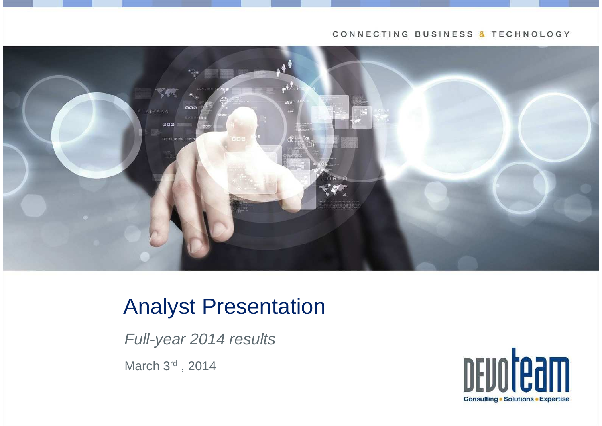#### CONNECTING BUSINESS & TECHNOLOGY



## Analyst Presentation

Full-year 2014 results

March 3rd , 2014

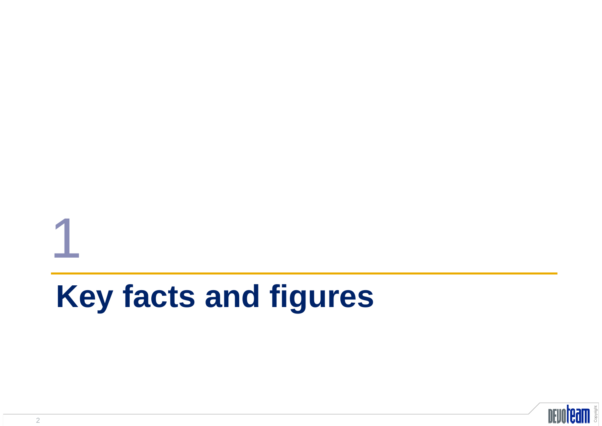## **Key facts and figures**



1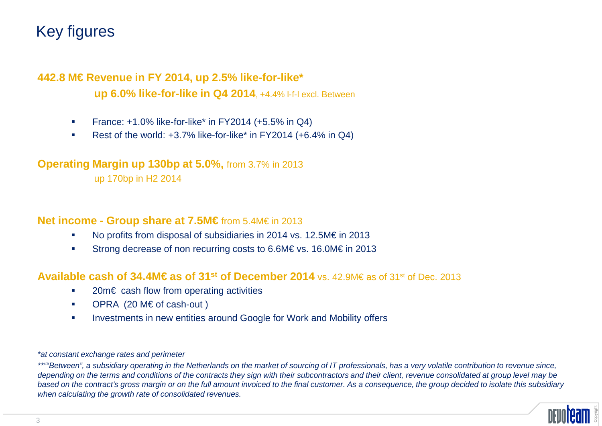## Key figures

#### **442.8 M€ Revenue in FY 2014, up 2.5% like-for-like\* up 6.0% like-for-like in Q4 2014**, +4.4% l-f-l excl. Between

- $\mathcal{L}_{\mathcal{A}}$ France: +1.0% like-for-like\* in FY2014 (+5.5% in Q4)
- Rest of the world: +3.7% like-for-like\* in FY2014 (+6.4% in Q4)

#### **Operating Margin up 130bp at 5.0%,** from 3.7% in 2013

up 170bp in H2 2014

#### **Net income - Group share at 7.5M€**from 5.4M€ in 2013

- No profits from disposal of subsidiaries in 2014 vs. 12.5M€ in 2013
- Strong decrease of non recurring costs to 6.6M€ vs. 16.0M€ in 2013

#### **Available cash of 34.4M€ as of 31st of December 2014** vs. 42.9M€ as of 31st of Dec. 2013

- 20m€ cash flow from operating activities
- $\mathcal{L}_{\mathcal{A}}$ OPRA (20 M€ of cash-out )
- $\mathcal{L}_{\mathcal{A}}$ Investments in new entities around Google for Work and Mobility offers

#### \*at constant exchange rates and perimeter

\*\*""Between", a subsidiary operating in the Netherlands on the market of sourcing of IT professionals, has a very volatile contribution to revenue since, depending on the terms and conditions of the contracts they sign with their subcontractors and their client, revenue consolidated at group level may be based on the contract's gross margin or on the full amount invoiced to the final customer. As a consequence, the group decided to isolate this subsidiary when calculating the growth rate of consolidated revenues.

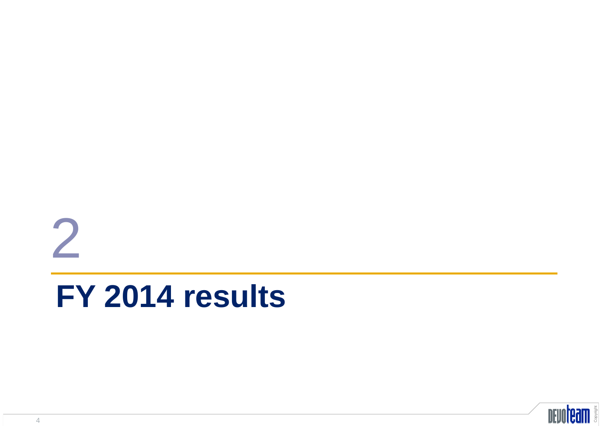# **FY 2014 results**



2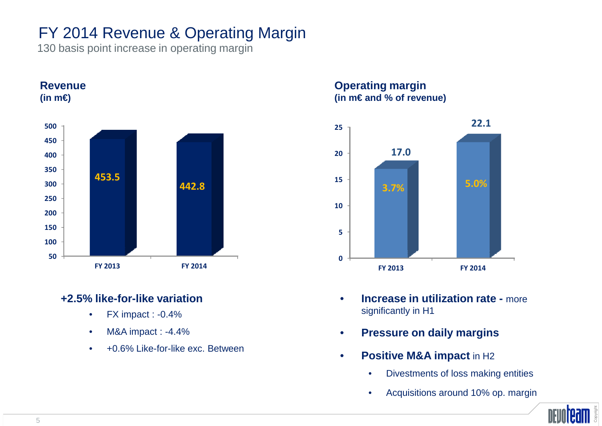## FY 2014 Revenue & Operating Margin

130 basis point increase in operating margin

**Revenue** 



#### **+2.5% like-for-like variation**

- •FX impact : -0.4%
- M&A impact : -4.4%•
- +0.6% Like-for-like exc. Between•

**Operating margin(in m€ and % of revenue)**



- • **Increase in utilization rate -** more significantly in H1
- •**Pressure on daily margins**
- •**Positive M&A impact in H2** 
	- $\bullet$ Divestments of loss making entities
	- •Acquisitions around 10% op. margin

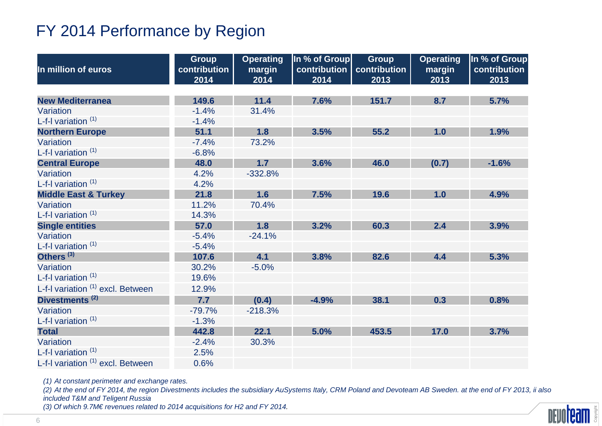## FY 2014 Performance by Region

|                                              | <b>Group</b>         | <b>Operating</b> | In % of Group        | <b>Group</b>         | <b>Operating</b> | In % of Group        |
|----------------------------------------------|----------------------|------------------|----------------------|----------------------|------------------|----------------------|
| In million of euros                          | contribution<br>2014 | margin<br>2014   | contribution<br>2014 | contribution<br>2013 | margin<br>2013   | contribution<br>2013 |
|                                              |                      |                  |                      |                      |                  |                      |
| <b>New Mediterranea</b>                      | 149.6                | 11.4             | 7.6%                 | 151.7                | 8.7              | 5.7%                 |
| Variation                                    | $-1.4%$              | 31.4%            |                      |                      |                  |                      |
| L-f-I variation $(1)$                        | $-1.4%$              |                  |                      |                      |                  |                      |
| <b>Northern Europe</b>                       | 51.1                 | 1.8              | 3.5%                 | 55.2                 | 1.0              | 1.9%                 |
| Variation                                    | $-7.4%$              | 73.2%            |                      |                      |                  |                      |
| L-f-I variation $(1)$                        | $-6.8%$              |                  |                      |                      |                  |                      |
| <b>Central Europe</b>                        | 48.0                 | 1.7              | 3.6%                 | 46.0                 | (0.7)            | $-1.6%$              |
| Variation                                    | 4.2%                 | $-332.8%$        |                      |                      |                  |                      |
| L-f-I variation $(1)$                        | 4.2%                 |                  |                      |                      |                  |                      |
| <b>Middle East &amp; Turkey</b>              | 21.8                 | 1.6              | 7.5%                 | 19.6                 | 1.0              | 4.9%                 |
| Variation                                    | 11.2%                | 70.4%            |                      |                      |                  |                      |
| L-f-I variation $(1)$                        | 14.3%                |                  |                      |                      |                  |                      |
| <b>Single entities</b>                       | 57.0                 | 1.8              | 3.2%                 | 60.3                 | 2.4              | 3.9%                 |
| Variation                                    | $-5.4%$              | $-24.1%$         |                      |                      |                  |                      |
| L-f-I variation $(1)$                        | $-5.4%$              |                  |                      |                      |                  |                      |
| Others <sup>(3)</sup>                        | 107.6                | 4.1              | 3.8%                 | 82.6                 | 4.4              | 5.3%                 |
| Variation                                    | 30.2%                | $-5.0%$          |                      |                      |                  |                      |
| L-f-I variation $(1)$                        | 19.6%                |                  |                      |                      |                  |                      |
| L-f-I variation <sup>(1)</sup> excl. Between | 12.9%                |                  |                      |                      |                  |                      |
| Divestments <sup>(2)</sup>                   | 7.7                  | (0.4)            | $-4.9%$              | 38.1                 | 0.3              | 0.8%                 |
| Variation                                    | $-79.7%$             | $-218.3%$        |                      |                      |                  |                      |
| L-f-I variation $(1)$                        | $-1.3%$              |                  |                      |                      |                  |                      |
| <b>Total</b>                                 | 442.8                | 22.1             | 5.0%                 | 453.5                | 17.0             | 3.7%                 |
| Variation                                    | $-2.4%$              | 30.3%            |                      |                      |                  |                      |
| L-f-I variation $(1)$                        | 2.5%                 |                  |                      |                      |                  |                      |
| L-f-I variation (1) excl. Between            | 0.6%                 |                  |                      |                      |                  |                      |

(1) At constant perimeter and exchange rates.

 (2) At the end of FY 2014, the region Divestments includes the subsidiary AuSystems Italy, CRM Poland and Devoteam AB Sweden. at the end of FY 2013, ii also included T&M and Teligent Russia

(3) Of which 9.7M€ revenues related to 2014 acquisitions for H2 and FY 2014.

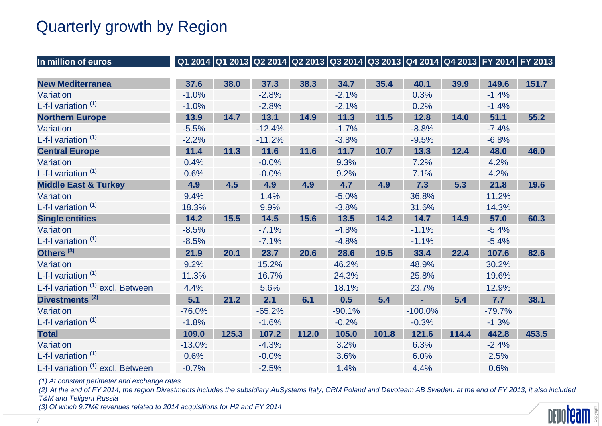## Quarterly growth by Region

| In million of euros               |          |       |          |       | Q1 2014 Q1 2013 Q2 2014 Q2 2013 Q3 2014 Q3 2013 Q4 2014 Q4 2013 FY 2014 FY 2013 |        |           |       |          |       |
|-----------------------------------|----------|-------|----------|-------|---------------------------------------------------------------------------------|--------|-----------|-------|----------|-------|
|                                   |          |       |          |       |                                                                                 |        |           |       |          |       |
| <b>New Mediterranea</b>           | 37.6     | 38.0  | 37.3     | 38.3  | 34.7                                                                            | 35.4   | 40.1      | 39.9  | 149.6    | 151.7 |
| Variation                         | $-1.0%$  |       | $-2.8%$  |       | $-2.1%$                                                                         |        | 0.3%      |       | $-1.4%$  |       |
| L-f-I variation $(1)$             | $-1.0%$  |       | $-2.8%$  |       | $-2.1%$                                                                         |        | 0.2%      |       | $-1.4%$  |       |
| <b>Northern Europe</b>            | 13.9     | 14.7  | 13.1     | 14.9  | 11.3                                                                            | $11.5$ | 12.8      | 14.0  | 51.1     | 55.2  |
| Variation                         | $-5.5%$  |       | $-12.4%$ |       | $-1.7%$                                                                         |        | $-8.8%$   |       | $-7.4%$  |       |
| L-f-I variation $(1)$             | $-2.2%$  |       | $-11.2%$ |       | $-3.8%$                                                                         |        | $-9.5%$   |       | $-6.8%$  |       |
| <b>Central Europe</b>             | 11.4     | 11.3  | 11.6     | 11.6  | 11.7                                                                            | 10.7   | 13.3      | 12.4  | 48.0     | 46.0  |
| Variation                         | 0.4%     |       | $-0.0%$  |       | 9.3%                                                                            |        | 7.2%      |       | 4.2%     |       |
| L-f-I variation $(1)$             | 0.6%     |       | $-0.0%$  |       | 9.2%                                                                            |        | 7.1%      |       | 4.2%     |       |
| <b>Middle East &amp; Turkey</b>   | 4.9      | 4.5   | 4.9      | 4.9   | 4.7                                                                             | 4.9    | 7.3       | 5.3   | 21.8     | 19.6  |
| Variation                         | 9.4%     |       | 1.4%     |       | $-5.0%$                                                                         |        | 36.8%     |       | 11.2%    |       |
| L-f-I variation $(1)$             | 18.3%    |       | 9.9%     |       | $-3.8%$                                                                         |        | 31.6%     |       | 14.3%    |       |
| <b>Single entities</b>            | 14.2     | 15.5  | 14.5     | 15.6  | 13.5                                                                            | 14.2   | 14.7      | 14.9  | 57.0     | 60.3  |
| Variation                         | $-8.5%$  |       | $-7.1%$  |       | $-4.8%$                                                                         |        | $-1.1%$   |       | $-5.4%$  |       |
| L-f-I variation $(1)$             | $-8.5%$  |       | $-7.1%$  |       | $-4.8%$                                                                         |        | $-1.1%$   |       | $-5.4%$  |       |
| Others <sup>(3)</sup>             | 21.9     | 20.1  | 23.7     | 20.6  | 28.6                                                                            | 19.5   | 33.4      | 22.4  | 107.6    | 82.6  |
| Variation                         | 9.2%     |       | 15.2%    |       | 46.2%                                                                           |        | 48.9%     |       | 30.2%    |       |
| L-f-I variation $(1)$             | 11.3%    |       | 16.7%    |       | 24.3%                                                                           |        | 25.8%     |       | 19.6%    |       |
| L-f-I variation (1) excl. Between | 4.4%     |       | 5.6%     |       | 18.1%                                                                           |        | 23.7%     |       | 12.9%    |       |
| Divestments <sup>(2)</sup>        | 5.1      | 21.2  | 2.1      | 6.1   | 0.5                                                                             | 5.4    |           | 5.4   | 7.7      | 38.1  |
| Variation                         | $-76.0%$ |       | $-65.2%$ |       | $-90.1%$                                                                        |        | $-100.0%$ |       | $-79.7%$ |       |
| L-f-I variation $(1)$             | $-1.8%$  |       | $-1.6%$  |       | $-0.2%$                                                                         |        | $-0.3%$   |       | $-1.3%$  |       |
| <b>Total</b>                      | 109.0    | 125.3 | 107.2    | 112.0 | 105.0                                                                           | 101.8  | 121.6     | 114.4 | 442.8    | 453.5 |
| Variation                         | $-13.0%$ |       | $-4.3%$  |       | 3.2%                                                                            |        | 6.3%      |       | $-2.4%$  |       |
| L-f-I variation $(1)$             | 0.6%     |       | $-0.0%$  |       | 3.6%                                                                            |        | 6.0%      |       | 2.5%     |       |
| L-f-I variation (1) excl. Between | $-0.7%$  |       | $-2.5%$  |       | 1.4%                                                                            |        | 4.4%      |       | 0.6%     |       |

(1) At constant perimeter and exchange rates.

 (2) At the end of FY 2014, the region Divestments includes the subsidiary AuSystems Italy, CRM Poland and Devoteam AB Sweden. at the end of FY 2013, it also included T&M and Teligent Russia

(3) Of which 9.7M€ revenues related to 2014 acquisitions for H2 and FY 2014

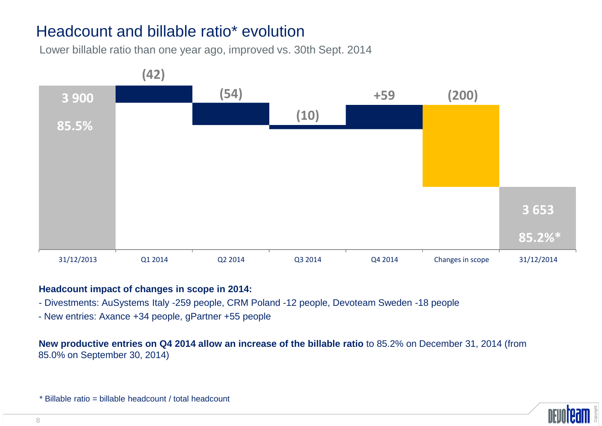## Headcount and billable ratio\* evolution

Lower billable ratio than one year ago, improved vs. 30th Sept. 2014



#### **Headcount impact of changes in scope in 2014:**

- Divestments: AuSystems Italy -259 people, CRM Poland -12 people, Devoteam Sweden -18 people
- New entries: Axance +34 people, gPartner +55 people

**New productive entries on Q4 2014 allow an increase of the billable ratio** to 85.2% on December 31, 2014 (from 85.0% on September 30, 2014)

\* Billable ratio = billable headcount / total headcount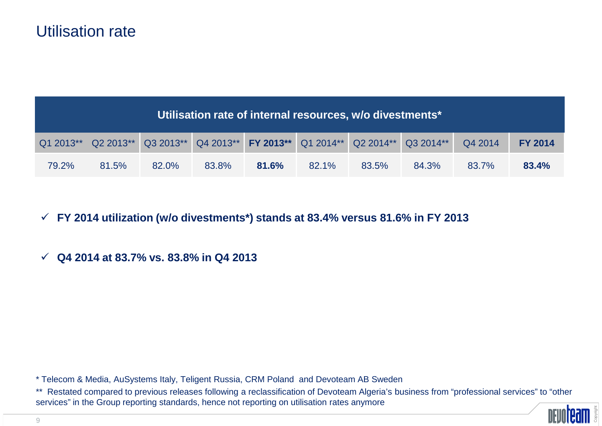#### Utilisation rate

| Utilisation rate of internal resources, w/o divestments* |       |       |       |       |       |                                                                                 |       |         |                |
|----------------------------------------------------------|-------|-------|-------|-------|-------|---------------------------------------------------------------------------------|-------|---------|----------------|
|                                                          |       |       |       |       |       | Q1 2013** Q2 2013** Q3 2013** Q4 2013** FY 2013** Q1 2014** Q2 2014** Q3 2014** |       | Q4 2014 | <b>FY 2014</b> |
| 79.2%                                                    | 81.5% | 82.0% | 83.8% | 81.6% | 82.1% | 83.5%                                                                           | 84.3% | 83.7%   | 83.4%          |

## - **FY 2014 utilization (w/o divestments\*) stands at 83.4% versus 81.6% in FY 2013**

## - **Q4 2014 at 83.7% vs. 83.8% in Q4 2013**

\* Telecom & Media, AuSystems Italy, Teligent Russia, CRM Poland and Devoteam AB Sweden

\*\* Restated compared to previous releases following a reclassification of Devoteam Algeria's business from "professional services" to "other services" in the Group reporting standards, hence not reporting on utilisation rates anymore

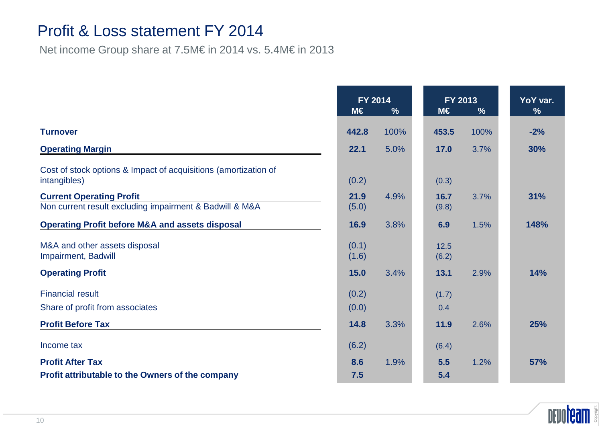#### Profit & Loss statement FY 2014

Net income Group share at 7.5M€ in 2014 vs. 5.4M€ in 2013

|                                                                                            | FY 2014<br>$M \in$<br>$\frac{9}{6}$ |      | FY 2013<br>$M \in$<br>$\%$ |  |      | YoY var.<br>$\frac{9}{6}$ |
|--------------------------------------------------------------------------------------------|-------------------------------------|------|----------------------------|--|------|---------------------------|
| <b>Turnover</b>                                                                            | 442.8                               | 100% | 453.5                      |  | 100% | $-2%$                     |
| <b>Operating Margin</b>                                                                    | 22.1                                | 5.0% | 17.0                       |  | 3.7% | 30%                       |
| Cost of stock options & Impact of acquisitions (amortization of<br>intangibles)            | (0.2)                               |      | (0.3)                      |  |      |                           |
| <b>Current Operating Profit</b><br>Non current result excluding impairment & Badwill & M&A | 21.9<br>(5.0)                       | 4.9% | 16.7<br>(9.8)              |  | 3.7% | 31%                       |
| <b>Operating Profit before M&amp;A and assets disposal</b>                                 | 16.9                                | 3.8% | 6.9                        |  | 1.5% | 148%                      |
| M&A and other assets disposal<br>Impairment, Badwill                                       | (0.1)<br>(1.6)                      |      | 12.5<br>(6.2)              |  |      |                           |
| <b>Operating Profit</b>                                                                    | 15.0                                | 3.4% | 13.1                       |  | 2.9% | <b>14%</b>                |
| <b>Financial result</b><br>Share of profit from associates                                 | (0.2)<br>(0.0)                      |      | (1.7)<br>0.4               |  |      |                           |
| <b>Profit Before Tax</b>                                                                   | 14.8                                | 3.3% | 11.9                       |  | 2.6% | 25%                       |
| Income tax                                                                                 | (6.2)                               |      | (6.4)                      |  |      |                           |
| <b>Profit After Tax</b><br><b>Profit attributable to the Owners of the company</b>         | 8.6<br>7.5                          | 1.9% | 5.5<br>5.4                 |  | 1.2% | <b>57%</b>                |

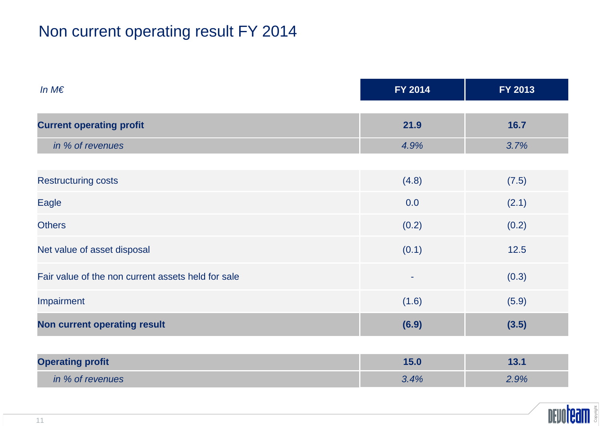## Non current operating result FY 2014

| In $M \in$                                         | FY 2014 | FY 2013 |
|----------------------------------------------------|---------|---------|
| <b>Current operating profit</b>                    | 21.9    | 16.7    |
| in % of revenues                                   | 4.9%    | 3.7%    |
| <b>Restructuring costs</b>                         | (4.8)   | (7.5)   |
| Eagle                                              | 0.0     | (2.1)   |
| <b>Others</b>                                      | (0.2)   | (0.2)   |
| Net value of asset disposal                        | (0.1)   | $12.5$  |
| Fair value of the non current assets held for sale | $\sim$  | (0.3)   |
| Impairment                                         | (1.6)   | (5.9)   |
| <b>Non current operating result</b>                | (6.9)   | (3.5)   |
|                                                    |         |         |
| <b>Operating profit</b>                            | 15.0    | 13.1    |

| perating profit  | .      |    |
|------------------|--------|----|
| in % of revenues | $.4\%$ | 9% |

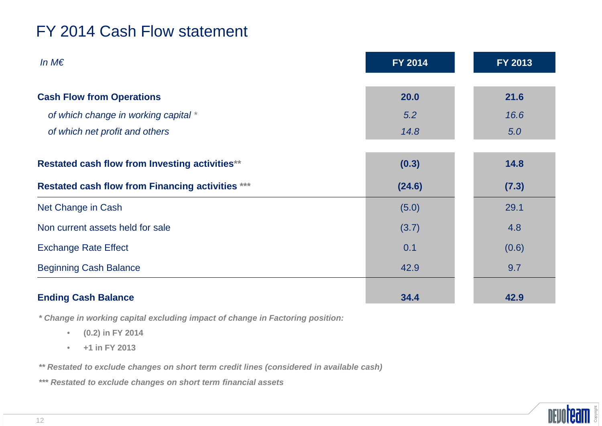## FY 2014 Cash Flow statement

| In $M \in$                                              | FY 2014 | FY 2013 |
|---------------------------------------------------------|---------|---------|
| <b>Cash Flow from Operations</b>                        | 20.0    | 21.6    |
| of which change in working capital *                    | 5.2     | 16.6    |
| of which net profit and others                          | 14.8    | 5.0     |
| Restated cash flow from Investing activities**          | (0.3)   | 14.8    |
| <b>Restated cash flow from Financing activities ***</b> | (24.6)  | (7.3)   |
| Net Change in Cash                                      | (5.0)   | 29.1    |
| Non current assets held for sale                        | (3.7)   | 4.8     |
| <b>Exchange Rate Effect</b>                             | 0.1     | (0.6)   |
| <b>Beginning Cash Balance</b>                           | 42.9    | 9.7     |
| <b>Ending Cash Balance</b>                              | 34.4    | 42.9    |

**\* Change in working capital excluding impact of change in Factoring position:** 

- •**(0.2) in FY 2014**
- •**+1 in FY 2013**
- **\*\* Restated to exclude changes on short term credit lines (considered in available cash)**
- **\*\*\* Restated to exclude changes on short term financial assets**

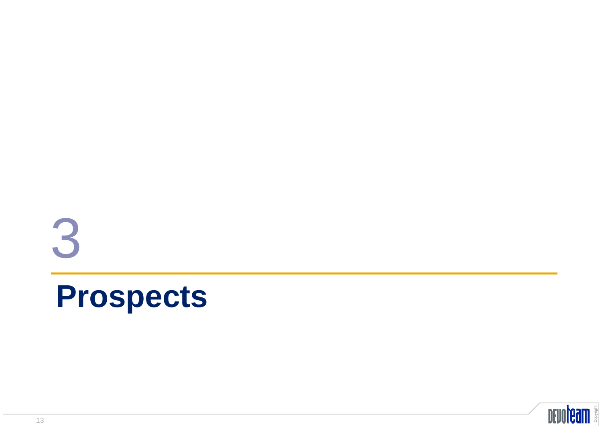# **Prospects**3

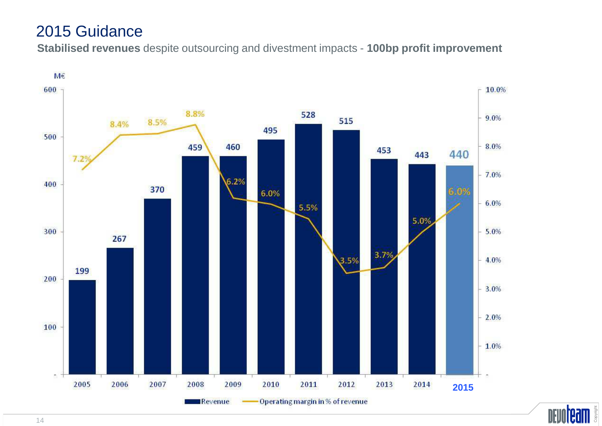#### 2015 Guidance

**Stabilised revenues** despite outsourcing and divestment impacts - **100bp profit improvement**



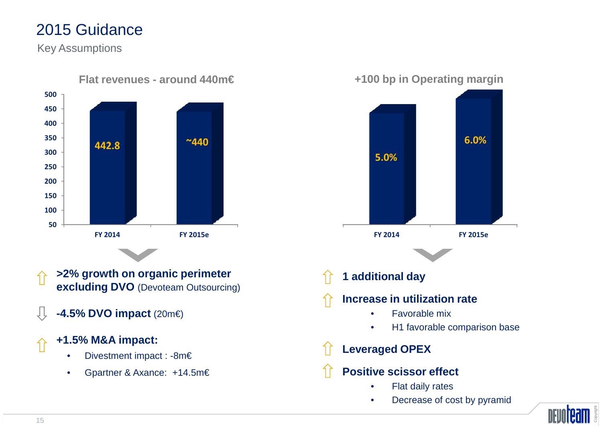## 2015 Guidance

Key Assumptions



**+100 bp in Operating margin**



•Decrease of cost by pyramid

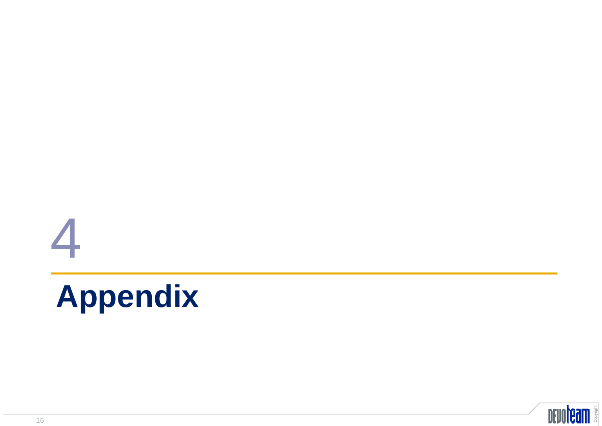## **Appendix**



4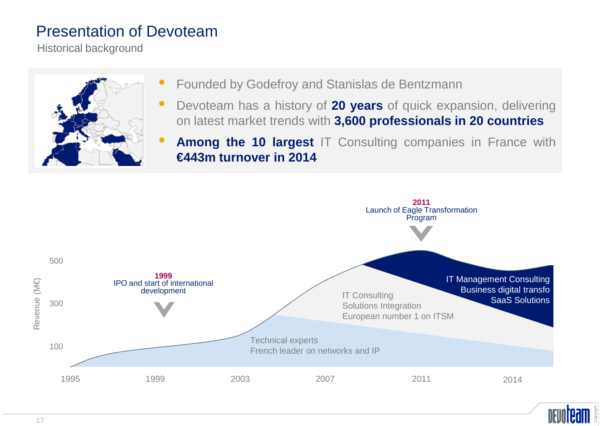#### Presentation of Devoteam

Historical background



- •Founded by Godefroy and Stanislas de Bentzmann
- •**•** Devoteam has a history of 20 years of quick expansion, delivering on latest market trends with **3,600 professionals in <sup>20</sup> countries**
- $\bullet$  **Among the <sup>10</sup> largest** IT Consulting companies in France with **€443m turnover in 2014**



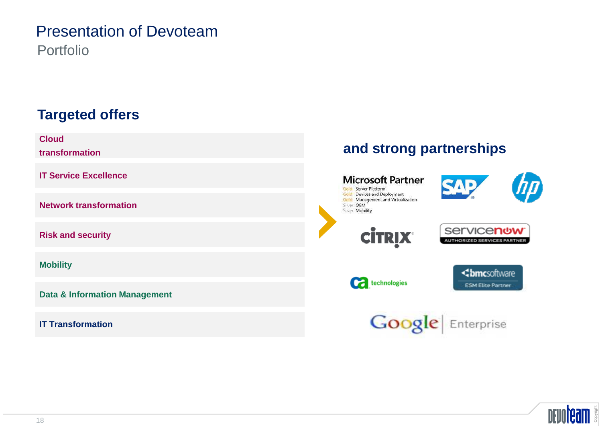#### Presentation of DevoteamPortfolio

#### **Targeted offers**

**Cloud**

**transformation**

**IT Service Excellence**

**Network transformation**

**Risk and security**

**Mobility**

**Data & Information Management**

**IT Transformation**

#### **and strong partnerships**



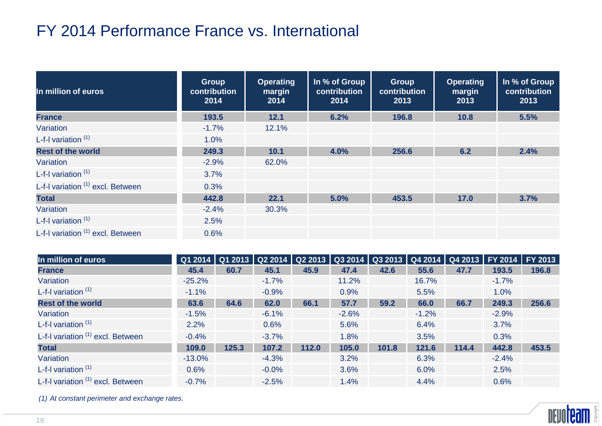## FY 2014 Performance France vs. International

| In million of euros               | <b>Group</b><br>contribution<br>2014 | <b>Operating</b><br>margin<br>2014 | In % of Group<br>contribution<br>2014 | Group<br>contribution<br>2013 | <b>Operating</b><br>margin<br>2013 | In % of Group<br>contribution<br>2013 |
|-----------------------------------|--------------------------------------|------------------------------------|---------------------------------------|-------------------------------|------------------------------------|---------------------------------------|
| <b>France</b>                     | 193.5                                | 12.1                               | 6.2%                                  | 196.8                         | 10.8                               | 5.5%                                  |
| Variation                         | $-1.7%$                              | 12.1%                              |                                       |                               |                                    |                                       |
| L-f-I variation $(1)$             | 1.0%                                 |                                    |                                       |                               |                                    |                                       |
| <b>Rest of the world</b>          | 249.3                                | 10.1                               | 4.0%                                  | 256.6                         | 6.2                                | 2.4%                                  |
| Variation                         | $-2.9%$                              | 62.0%                              |                                       |                               |                                    |                                       |
| L-f-I variation $(1)$             | 3.7%                                 |                                    |                                       |                               |                                    |                                       |
| L-f-I variation (1) excl. Between | 0.3%                                 |                                    |                                       |                               |                                    |                                       |
| <b>Total</b>                      | 442.8                                | 22.1                               | 5.0%                                  | 453.5                         | 17.0                               | 3.7%                                  |
| Variation                         | $-2.4%$                              | 30.3%                              |                                       |                               |                                    |                                       |
| L-f-I variation $(1)$             | 2.5%                                 |                                    |                                       |                               |                                    |                                       |
| L-f-I variation (1) excl. Between | 0.6%                                 |                                    |                                       |                               |                                    |                                       |

| In million of euros               | $\overline{Q12014}$ | Q1 2013 |         | $Q22014$   Q2 2013 |         | Q3 2014   Q3 2013   Q4 2014   Q4 2013   FY 2014   FY 2013 |         |       |         |       |
|-----------------------------------|---------------------|---------|---------|--------------------|---------|-----------------------------------------------------------|---------|-------|---------|-------|
| <b>France</b>                     | 45.4                | 60.7    | 45.1    | 45.9               | 47.4    | 42.6                                                      | 55.6    | 47.7  | 193.5   | 196.8 |
| Variation                         | $-25.2%$            |         | $-1.7%$ |                    | 11.2%   |                                                           | 16.7%   |       | $-1.7%$ |       |
| L-f-I variation (1)               | $-1.1%$             |         | $-0.9%$ |                    | 0.9%    |                                                           | 5.5%    |       | 1.0%    |       |
| <b>Rest of the world</b>          | 63.6                | 64.6    | 62.0    | 66.1               | 57.7    | 59.2                                                      | 66.0    | 66.7  | 249.3   | 256.6 |
| Variation                         | $-1.5%$             |         | $-6.1%$ |                    | $-2.6%$ |                                                           | $-1.2%$ |       | $-2.9%$ |       |
| L-f-I variation $(1)$             | 2.2%                |         | 0.6%    |                    | 5.6%    |                                                           | 6.4%    |       | 3.7%    |       |
| L-f-I variation (1) excl. Between | $-0.4%$             |         | $-3.7%$ |                    | 1.8%    |                                                           | 3.5%    |       | 0.3%    |       |
| <b>Total</b>                      | 109.0               | 125.3   | 107.2   | 112.0              | 105.0   | 101.8                                                     | 121.6   | 114.4 | 442.8   | 453.5 |
| Variation                         | $-13.0\%$           |         | $-4.3%$ |                    | 3.2%    |                                                           | 6.3%    |       | $-2.4%$ |       |
| L-f-I variation $(1)$             | 0.6%                |         | $-0.0%$ |                    | 3.6%    |                                                           | 6.0%    |       | 2.5%    |       |
| L-f-I variation (1) excl. Between | $-0.7%$             |         | $-2.5%$ |                    | 1.4%    |                                                           | 4.4%    |       | 0.6%    |       |

(1) At constant perimeter and exchange rates.

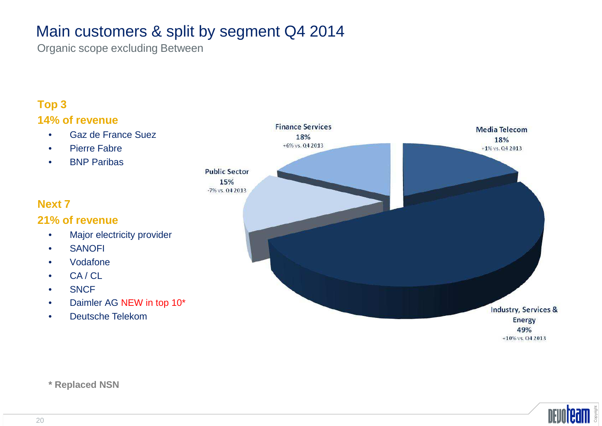## Main customers & split by segment Q4 2014

Organic scope excluding Between

#### **Top 314% of revenue**

- Gaz de France Suez•
- •Pierre Fabre
- BNP Paribas •

#### **Next 7**

#### **21% of revenue**

- Major electricity provider •
- •SANOFI
- •Vodafone
- •CA / CL
- •**SNCF**
- Daimler AG NEW in top 10\*•
- •Deutsche Telekom



**\* Replaced NSN**

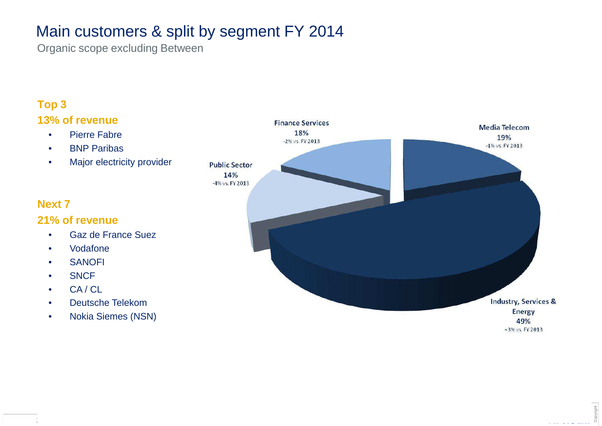## Main customers & split by segment FY 2014

Organic scope excluding Between

#### **Top 313% of revenue**

- Pierre Fabre•
- BNP Paribas •
- •Major electricity provider

#### **Next 7**

#### **21% of revenue**

- Gaz de France Suez•
- •Vodafone
- SANOFI •
- •**SNCF**
- CA / CL•
- Deutsche Telekom•
- Nokia Siemes (NSN)•

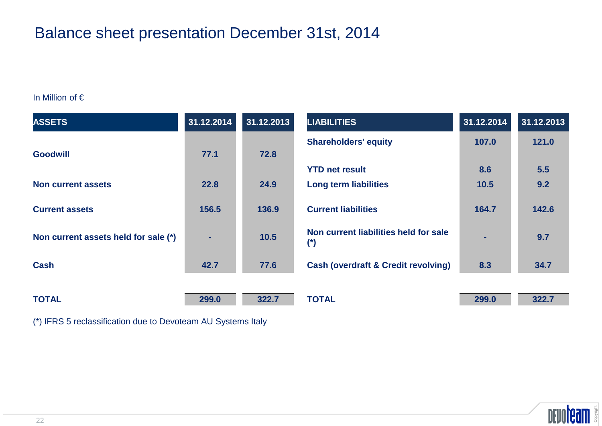## Balance sheet presentation December 31st, 2014

#### In Million of €

| <b>ASSETS</b>                        | 31.12.2014 | 31.12.2013 | <b>LIABILITIES</b>                             | 31.12.2014 | 31.12.2013 |
|--------------------------------------|------------|------------|------------------------------------------------|------------|------------|
|                                      |            |            | <b>Shareholders' equity</b>                    | 107.0      | 121.0      |
| <b>Goodwill</b>                      | 77.1       | 72.8       | <b>YTD net result</b>                          | 8.6        | 5.5        |
| <b>Non current assets</b>            | 22.8       | 24.9       | <b>Long term liabilities</b>                   | 10.5       | 9.2        |
|                                      |            |            |                                                |            |            |
| <b>Current assets</b>                | 156.5      | 136.9      | <b>Current liabilities</b>                     | 164.7      | 142.6      |
| Non current assets held for sale (*) | ٠          | 10.5       | Non current liabilities held for sale<br>$(*)$ | ۰.         | 9.7        |
| <b>Cash</b>                          | 42.7       | 77.6       | <b>Cash (overdraft &amp; Credit revolving)</b> | 8.3        | 34.7       |
|                                      |            |            |                                                |            |            |
| <b>TOTAL</b>                         | 299.0      | 322.7      | <b>TOTAL</b>                                   | 299.0      | 322.7      |

(\*) IFRS 5 reclassification due to Devoteam AU Systems Italy